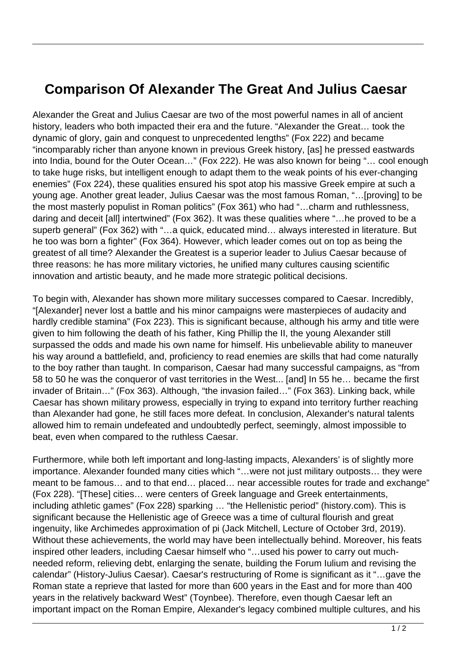## **Comparison Of Alexander The Great And Julius Caesar**

Alexander the Great and Julius Caesar are two of the most powerful names in all of ancient history, leaders who both impacted their era and the future. "Alexander the Great… took the dynamic of glory, gain and conquest to unprecedented lengths" (Fox 222) and became "incomparably richer than anyone known in previous Greek history, [as] he pressed eastwards into India, bound for the Outer Ocean…" (Fox 222). He was also known for being "… cool enough to take huge risks, but intelligent enough to adapt them to the weak points of his ever-changing enemies" (Fox 224), these qualities ensured his spot atop his massive Greek empire at such a young age. Another great leader, Julius Caesar was the most famous Roman, "…[proving] to be the most masterly populist in Roman politics" (Fox 361) who had "…charm and ruthlessness, daring and deceit [all] intertwined" (Fox 362). It was these qualities where "…he proved to be a superb general" (Fox 362) with "...a quick, educated mind... always interested in literature. But he too was born a fighter" (Fox 364). However, which leader comes out on top as being the greatest of all time? Alexander the Greatest is a superior leader to Julius Caesar because of three reasons: he has more military victories, he unified many cultures causing scientific innovation and artistic beauty, and he made more strategic political decisions.

To begin with, Alexander has shown more military successes compared to Caesar. Incredibly, "[Alexander] never lost a battle and his minor campaigns were masterpieces of audacity and hardly credible stamina" (Fox 223). This is significant because, although his army and title were given to him following the death of his father, King Phillip the II, the young Alexander still surpassed the odds and made his own name for himself. His unbelievable ability to maneuver his way around a battlefield, and, proficiency to read enemies are skills that had come naturally to the boy rather than taught. In comparison, Caesar had many successful campaigns, as "from 58 to 50 he was the conqueror of vast territories in the West... [and] In 55 he… became the first invader of Britain…" (Fox 363). Although, "the invasion failed…" (Fox 363). Linking back, while Caesar has shown military prowess, especially in trying to expand into territory further reaching than Alexander had gone, he still faces more defeat. In conclusion, Alexander's natural talents allowed him to remain undefeated and undoubtedly perfect, seemingly, almost impossible to beat, even when compared to the ruthless Caesar.

Furthermore, while both left important and long-lasting impacts, Alexanders' is of slightly more importance. Alexander founded many cities which "…were not just military outposts… they were meant to be famous… and to that end… placed… near accessible routes for trade and exchange" (Fox 228). "[These] cities… were centers of Greek language and Greek entertainments, including athletic games" (Fox 228) sparking … "the Hellenistic period" (history.com). This is significant because the Hellenistic age of Greece was a time of cultural flourish and great ingenuity, like Archimedes approximation of pi (Jack Mitchell, Lecture of October 3rd, 2019). Without these achievements, the world may have been intellectually behind. Moreover, his feats inspired other leaders, including Caesar himself who "…used his power to carry out muchneeded reform, relieving debt, enlarging the senate, building the Forum Iulium and revising the calendar" (History-Julius Caesar). Caesar's restructuring of Rome is significant as it "…gave the Roman state a reprieve that lasted for more than 600 years in the East and for more than 400 years in the relatively backward West" (Toynbee). Therefore, even though Caesar left an important impact on the Roman Empire, Alexander's legacy combined multiple cultures, and his